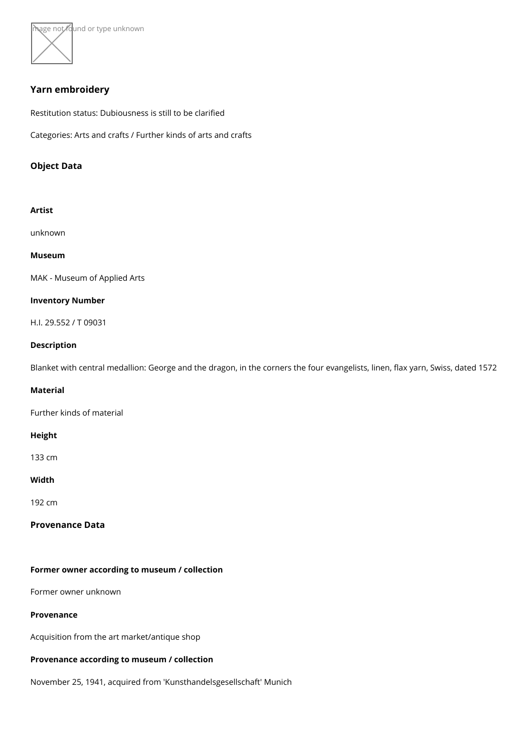

#### Yarn embroidery

Restitution status: Dubiousness is still to be clarified

Categories: Arts and crafts / Further kinds of arts and crafts

Object Data

Artist

[unkno](https://www.kunstdatenbank.at/search-for-objects/artist/unknown)wn Museum [MAK - Museum of Ap](https://www.kunstdatenbank.at//detail-view-museum/mak-museum-of-applied-arts.html)plied Arts Inventory Number H.I. 29.552 / T 09031 Description Blanket with central medallion: George and the dragon, in the corners the four evangel Material Further kinds of material Height 133 cm Width 192 cm Provenance Data Former owner according to museum / collection Former owner unknown Provenance Acquisition from the art market/antique shop Provenance according to museum / collection

November 25, 1941, acquired from 'Kunsthandelsgesellschaft' Munich